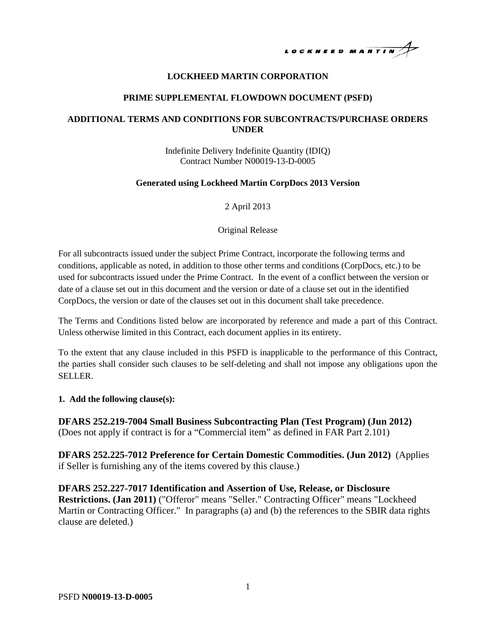# LOCKHEED MARTIN

#### **LOCKHEED MARTIN CORPORATION**

#### **PRIME SUPPLEMENTAL FLOWDOWN DOCUMENT (PSFD)**

#### **ADDITIONAL TERMS AND CONDITIONS FOR SUBCONTRACTS/PURCHASE ORDERS UNDER**

Indefinite Delivery Indefinite Quantity (IDIQ) Contract Number N00019-13-D-0005

#### **Generated using Lockheed Martin CorpDocs 2013 Version**

2 April 2013

#### Original Release

For all subcontracts issued under the subject Prime Contract, incorporate the following terms and conditions, applicable as noted, in addition to those other terms and conditions (CorpDocs, etc.) to be used for subcontracts issued under the Prime Contract. In the event of a conflict between the version or date of a clause set out in this document and the version or date of a clause set out in the identified CorpDocs, the version or date of the clauses set out in this document shall take precedence.

The Terms and Conditions listed below are incorporated by reference and made a part of this Contract. Unless otherwise limited in this Contract, each document applies in its entirety.

To the extent that any clause included in this PSFD is inapplicable to the performance of this Contract, the parties shall consider such clauses to be self-deleting and shall not impose any obligations upon the SELLER.

#### **1. Add the following clause(s):**

**DFARS 252.219-7004 Small Business Subcontracting Plan (Test Program) (Jun 2012)** (Does not apply if contract is for a "Commercial item" as defined in FAR Part 2.101)

**DFARS 252.225-7012 Preference for Certain Domestic Commodities. (Jun 2012)** (Applies if Seller is furnishing any of the items covered by this clause.)

**DFARS 252.227-7017 Identification and Assertion of Use, Release, or Disclosure Restrictions. (Jan 2011)** ("Offeror" means "Seller." Contracting Officer" means "Lockheed Martin or Contracting Officer." In paragraphs (a) and (b) the references to the SBIR data rights clause are deleted.)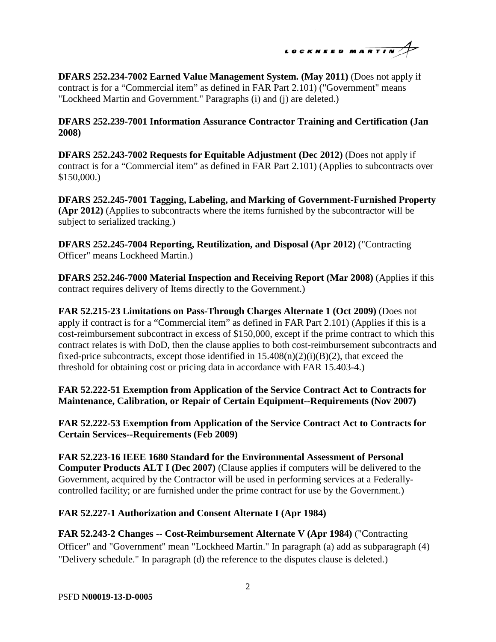LOCKHEED MARTIN

**DFARS 252.234-7002 Earned Value Management System. (May 2011)** (Does not apply if contract is for a "Commercial item" as defined in FAR Part 2.101) ("Government" means "Lockheed Martin and Government." Paragraphs (i) and (j) are deleted.)

**DFARS 252.239-7001 Information Assurance Contractor Training and Certification (Jan 2008)** 

**DFARS 252.243-7002 Requests for Equitable Adjustment (Dec 2012)** (Does not apply if contract is for a "Commercial item" as defined in FAR Part 2.101) (Applies to subcontracts over \$150,000.)

**DFARS 252.245-7001 Tagging, Labeling, and Marking of Government-Furnished Property (Apr 2012)** (Applies to subcontracts where the items furnished by the subcontractor will be subject to serialized tracking.)

**DFARS 252.245-7004 Reporting, Reutilization, and Disposal (Apr 2012)** ("Contracting Officer" means Lockheed Martin.)

**DFARS 252.246-7000 Material Inspection and Receiving Report (Mar 2008)** (Applies if this contract requires delivery of Items directly to the Government.)

**FAR 52.215-23 Limitations on Pass-Through Charges Alternate 1 (Oct 2009)** (Does not apply if contract is for a "Commercial item" as defined in FAR Part 2.101) (Applies if this is a cost-reimbursement subcontract in excess of \$150,000, except if the prime contract to which this contract relates is with DoD, then the clause applies to both cost-reimbursement subcontracts and fixed-price subcontracts, except those identified in  $15.408(n)(2)(i)(B)(2)$ , that exceed the threshold for obtaining cost or pricing data in accordance with FAR 15.403-4.)

**FAR 52.222-51 Exemption from Application of the Service Contract Act to Contracts for Maintenance, Calibration, or Repair of Certain Equipment--Requirements (Nov 2007)** 

**FAR 52.222-53 Exemption from Application of the Service Contract Act to Contracts for Certain Services--Requirements (Feb 2009)** 

**FAR 52.223-16 IEEE 1680 Standard for the Environmental Assessment of Personal Computer Products ALT I (Dec 2007)** (Clause applies if computers will be delivered to the Government, acquired by the Contractor will be used in performing services at a Federallycontrolled facility; or are furnished under the prime contract for use by the Government.)

# **FAR 52.227-1 Authorization and Consent Alternate I (Apr 1984)**

**FAR 52.243-2 Changes -- Cost-Reimbursement Alternate V (Apr 1984)** ("Contracting Officer" and "Government" mean "Lockheed Martin." In paragraph (a) add as subparagraph (4) "Delivery schedule." In paragraph (d) the reference to the disputes clause is deleted.)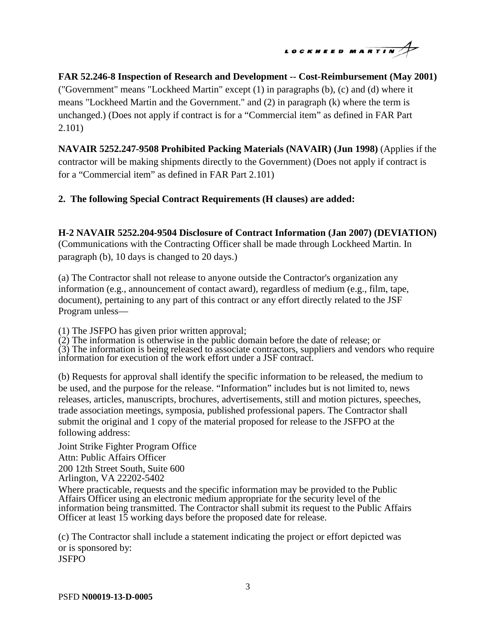

# **FAR 52.246-8 Inspection of Research and Development -- Cost-Reimbursement (May 2001)**

("Government" means "Lockheed Martin" except (1) in paragraphs (b), (c) and (d) where it means "Lockheed Martin and the Government." and (2) in paragraph (k) where the term is unchanged.) (Does not apply if contract is for a "Commercial item" as defined in FAR Part 2.101)

**NAVAIR 5252.247-9508 Prohibited Packing Materials (NAVAIR) (Jun 1998)** (Applies if the contractor will be making shipments directly to the Government) (Does not apply if contract is for a "Commercial item" as defined in FAR Part 2.101)

### **2. The following Special Contract Requirements (H clauses) are added:**

#### **H-2 NAVAIR 5252.204-9504 Disclosure of Contract Information (Jan 2007) (DEVIATION)**

(Communications with the Contracting Officer shall be made through Lockheed Martin. In paragraph (b), 10 days is changed to 20 days.)

(a) The Contractor shall not release to anyone outside the Contractor's organization any information (e.g., announcement of contact award), regardless of medium (e.g., film, tape, document), pertaining to any part of this contract or any effort directly related to the JSF Program unless—

(1) The JSFPO has given prior written approval;

(2) The information is otherwise in the public domain before the date of release; or  $(3)$  The information is being released to associate contractors, suppliers and vendors who require information for execution of the work effort under a JSF contract.

(b) Requests for approval shall identify the specific information to be released, the medium to be used, and the purpose for the release. "Information" includes but is not limited to, news releases, articles, manuscripts, brochures, advertisements, still and motion pictures, speeches, trade association meetings, symposia, published professional papers. The Contractor shall submit the original and 1 copy of the material proposed for release to the JSFPO at the following address:

Joint Strike Fighter Program Office Attn: Public Affairs Officer 200 12th Street South, Suite 600 Arlington, VA 22202-5402

Where practicable, requests and the specific information may be provided to the Public Affairs Officer using an electronic medium appropriate for the security level of the information being transmitted. The Contractor shall submit its request to the Public Affairs Officer at least 15 working days before the proposed date for release.

(c) The Contractor shall include a statement indicating the project or effort depicted was or is sponsored by: JSFPO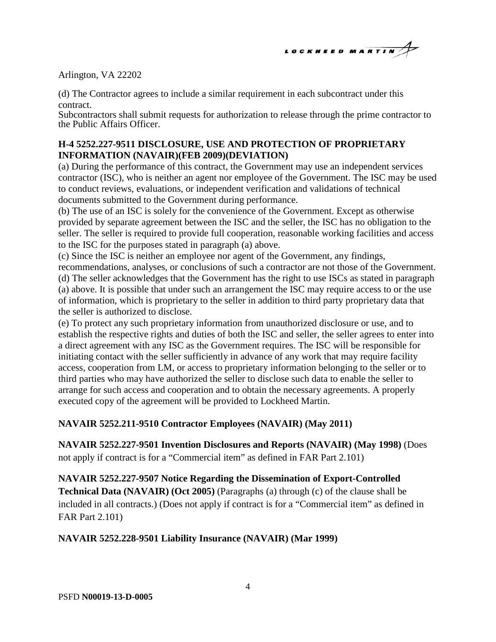

### Arlington, VA 22202

(d) The Contractor agrees to include a similar requirement in each subcontract under this contract.

Subcontractors shall submit requests for authorization to release through the prime contractor to the Public Affairs Officer.

### **H-4 5252.227-9511 DISCLOSURE, USE AND PROTECTION OF PROPRIETARY INFORMATION (NAVAIR)(FEB 2009)(DEVIATION)**

(a) During the performance of this contract, the Government may use an independent services contractor (ISC), who is neither an agent nor employee of the Government. The ISC may be used to conduct reviews, evaluations, or independent verification and validations of technical documents submitted to the Government during performance.

(b) The use of an ISC is solely for the convenience of the Government. Except as otherwise provided by separate agreement between the ISC and the seller, the ISC has no obligation to the seller. The seller is required to provide full cooperation, reasonable working facilities and access to the ISC for the purposes stated in paragraph (a) above.

(c) Since the ISC is neither an employee nor agent of the Government, any findings,

recommendations, analyses, or conclusions of such a contractor are not those of the Government. (d) The seller acknowledges that the Government has the right to use ISCs as stated in paragraph (a) above. It is possible that under such an arrangement the ISC may require access to or the use of information, which is proprietary to the seller in addition to third party proprietary data that the seller is authorized to disclose.

(e) To protect any such proprietary information from unauthorized disclosure or use, and to establish the respective rights and duties of both the ISC and seller, the seller agrees to enter into a direct agreement with any ISC as the Government requires. The ISC will be responsible for initiating contact with the seller sufficiently in advance of any work that may require facility access, cooperation from LM, or access to proprietary information belonging to the seller or to third parties who may have authorized the seller to disclose such data to enable the seller to arrange for such access and cooperation and to obtain the necessary agreements. A properly executed copy of the agreement will be provided to Lockheed Martin.

# **NAVAIR 5252.211-9510 Contractor Employees (NAVAIR) (May 2011)**

**NAVAIR 5252.227-9501 Invention Disclosures and Reports (NAVAIR) (May 1998)** (Does not apply if contract is for a "Commercial item" as defined in FAR Part 2.101)

**NAVAIR 5252.227-9507 Notice Regarding the Dissemination of Export-Controlled Technical Data (NAVAIR) (Oct 2005)** (Paragraphs (a) through (c) of the clause shall be included in all contracts.) (Does not apply if contract is for a "Commercial item" as defined in FAR Part 2.101)

# **NAVAIR 5252.228-9501 Liability Insurance (NAVAIR) (Mar 1999)**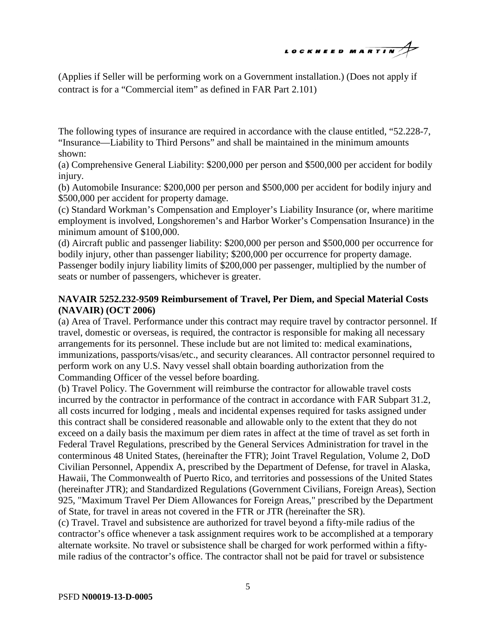# LOCKHEED MARTIN

(Applies if Seller will be performing work on a Government installation.) (Does not apply if contract is for a "Commercial item" as defined in FAR Part 2.101)

The following types of insurance are required in accordance with the clause entitled, "52.228-7, "Insurance—Liability to Third Persons" and shall be maintained in the minimum amounts shown:

(a) Comprehensive General Liability: \$200,000 per person and \$500,000 per accident for bodily injury.

(b) Automobile Insurance: \$200,000 per person and \$500,000 per accident for bodily injury and \$500,000 per accident for property damage.

(c) Standard Workman's Compensation and Employer's Liability Insurance (or, where maritime employment is involved, Longshoremen's and Harbor Worker's Compensation Insurance) in the minimum amount of \$100,000.

(d) Aircraft public and passenger liability: \$200,000 per person and \$500,000 per occurrence for bodily injury, other than passenger liability; \$200,000 per occurrence for property damage. Passenger bodily injury liability limits of \$200,000 per passenger, multiplied by the number of seats or number of passengers, whichever is greater.

# **NAVAIR 5252.232-9509 Reimbursement of Travel, Per Diem, and Special Material Costs (NAVAIR) (OCT 2006)**

(a) Area of Travel. Performance under this contract may require travel by contractor personnel. If travel, domestic or overseas, is required, the contractor is responsible for making all necessary arrangements for its personnel. These include but are not limited to: medical examinations, immunizations, passports/visas/etc., and security clearances. All contractor personnel required to perform work on any U.S. Navy vessel shall obtain boarding authorization from the Commanding Officer of the vessel before boarding.

(b) Travel Policy. The Government will reimburse the contractor for allowable travel costs incurred by the contractor in performance of the contract in accordance with FAR Subpart 31.2, all costs incurred for lodging , meals and incidental expenses required for tasks assigned under this contract shall be considered reasonable and allowable only to the extent that they do not exceed on a daily basis the maximum per diem rates in affect at the time of travel as set forth in Federal Travel Regulations, prescribed by the General Services Administration for travel in the conterminous 48 United States, (hereinafter the FTR); Joint Travel Regulation, Volume 2, DoD Civilian Personnel, Appendix A, prescribed by the Department of Defense, for travel in Alaska, Hawaii, The Commonwealth of Puerto Rico, and territories and possessions of the United States (hereinafter JTR); and Standardized Regulations (Government Civilians, Foreign Areas), Section 925, "Maximum Travel Per Diem Allowances for Foreign Areas," prescribed by the Department of State, for travel in areas not covered in the FTR or JTR (hereinafter the SR).

(c) Travel. Travel and subsistence are authorized for travel beyond a fifty-mile radius of the contractor's office whenever a task assignment requires work to be accomplished at a temporary alternate worksite. No travel or subsistence shall be charged for work performed within a fiftymile radius of the contractor's office. The contractor shall not be paid for travel or subsistence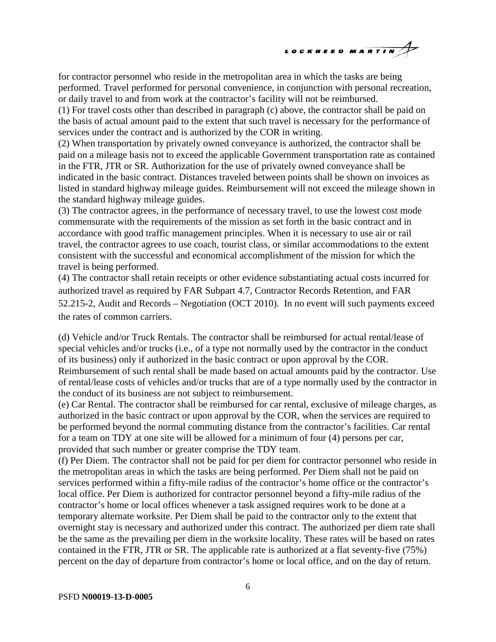

for contractor personnel who reside in the metropolitan area in which the tasks are being performed. Travel performed for personal convenience, in conjunction with personal recreation, or daily travel to and from work at the contractor's facility will not be reimbursed.

(1) For travel costs other than described in paragraph (c) above, the contractor shall be paid on the basis of actual amount paid to the extent that such travel is necessary for the performance of services under the contract and is authorized by the COR in writing.

(2) When transportation by privately owned conveyance is authorized, the contractor shall be paid on a mileage basis not to exceed the applicable Government transportation rate as contained in the FTR, JTR or SR. Authorization for the use of privately owned conveyance shall be indicated in the basic contract. Distances traveled between points shall be shown on invoices as listed in standard highway mileage guides. Reimbursement will not exceed the mileage shown in the standard highway mileage guides.

(3) The contractor agrees, in the performance of necessary travel, to use the lowest cost mode commensurate with the requirements of the mission as set forth in the basic contract and in accordance with good traffic management principles. When it is necessary to use air or rail travel, the contractor agrees to use coach, tourist class, or similar accommodations to the extent consistent with the successful and economical accomplishment of the mission for which the travel is being performed.

(4) The contractor shall retain receipts or other evidence substantiating actual costs incurred for authorized travel as required by FAR Subpart 4.7, Contractor Records Retention, and FAR 52.215-2, Audit and Records – Negotiation (OCT 2010). In no event will such payments exceed the rates of common carriers.

(d) Vehicle and/or Truck Rentals. The contractor shall be reimbursed for actual rental/lease of special vehicles and/or trucks (i.e., of a type not normally used by the contractor in the conduct of its business) only if authorized in the basic contract or upon approval by the COR. Reimbursement of such rental shall be made based on actual amounts paid by the contractor. Use of rental/lease costs of vehicles and/or trucks that are of a type normally used by the contractor in the conduct of its business are not subject to reimbursement.

(e) Car Rental. The contractor shall be reimbursed for car rental, exclusive of mileage charges, as authorized in the basic contract or upon approval by the COR, when the services are required to be performed beyond the normal commuting distance from the contractor's facilities. Car rental for a team on TDY at one site will be allowed for a minimum of four (4) persons per car, provided that such number or greater comprise the TDY team.

(f) Per Diem. The contractor shall not be paid for per diem for contractor personnel who reside in the metropolitan areas in which the tasks are being performed. Per Diem shall not be paid on services performed within a fifty-mile radius of the contractor's home office or the contractor's local office. Per Diem is authorized for contractor personnel beyond a fifty-mile radius of the contractor's home or local offices whenever a task assigned requires work to be done at a temporary alternate worksite. Per Diem shall be paid to the contractor only to the extent that overnight stay is necessary and authorized under this contract. The authorized per diem rate shall be the same as the prevailing per diem in the worksite locality. These rates will be based on rates contained in the FTR, JTR or SR. The applicable rate is authorized at a flat seventy-five (75%) percent on the day of departure from contractor's home or local office, and on the day of return.